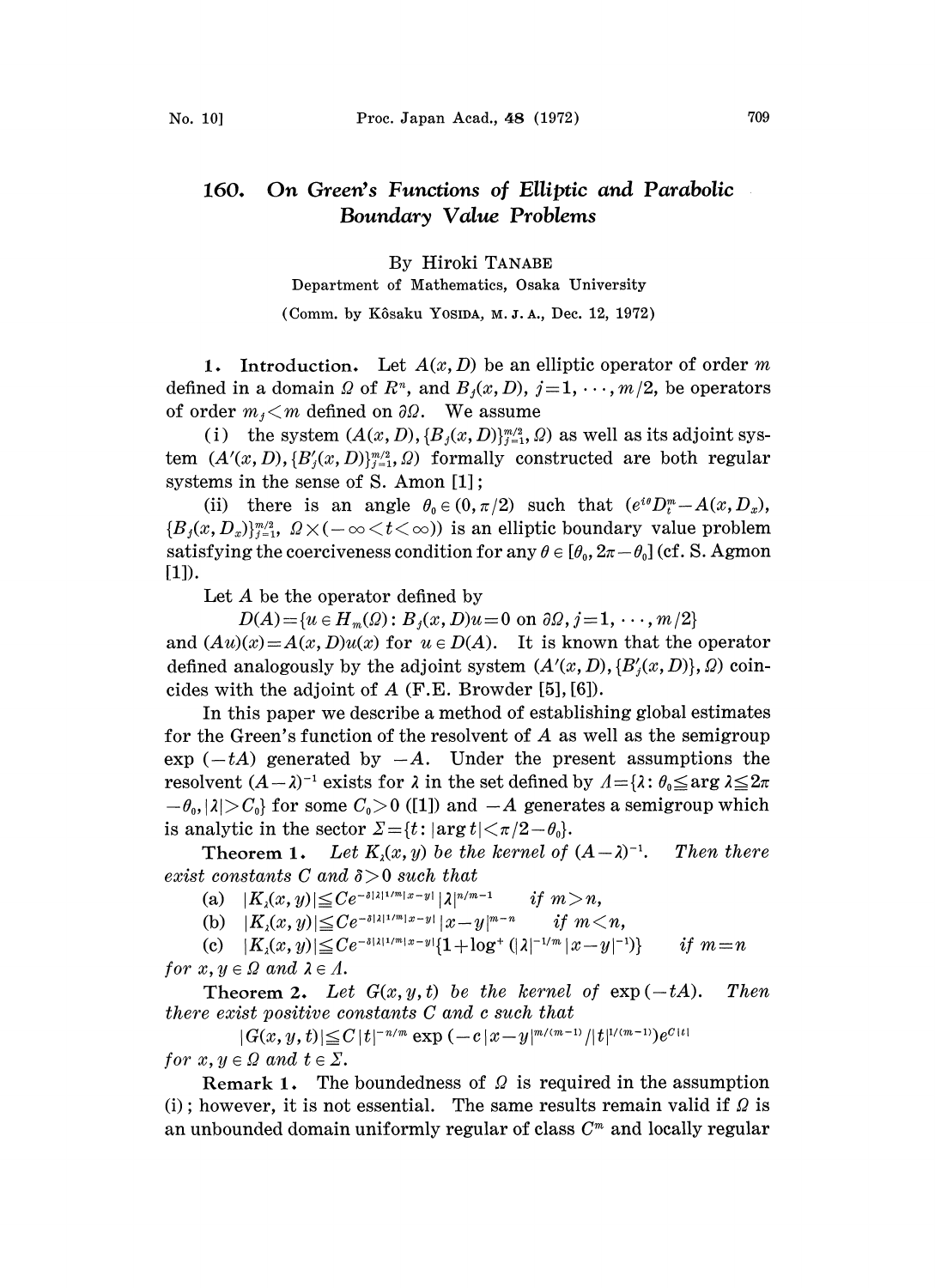## 160. On Green's Functions of Elliptic and Parabolic Boundary Value Problems

## By Hiroki TANABE

Department of Mathematics, Osaka University

(Comm. by Kôsaku Yosipa, M.J.A., Dec. 12, 1972)

1. Introduction. Let  $A(x, D)$  be an elliptic operator of order m defined in a domain  $\Omega$  of  $R^n$ , and  $B_j(x, D)$ ,  $j = 1, \dots, m/2$ , be operators of order  $m_j < m$  defined on  $\partial \Omega$ . We assume

(i) the system  $(A(x, D), \{B_i(x, D)\}_{i=1}^{m/2}, \Omega)$  as well as its adjoint system  $(A'(x, D), \{B'(x, D)\}_{i=1}^{m/2}, Q)$  formally constructed are both regular systems in the sense of S. Amon  $[1]$ ;

(ii) there is an angle  $\theta_0 \in (0, \pi/2)$  such that  $(e^{i\theta}D_{t}^m - A(x,D_{x}),$  ${B_i(x, D_x)}_{i=1}^{m/2}, Q \times (-\infty \leq t \leq \infty)$  is an elliptic boundary value problem satisfying the coerciveness condition for any  $\theta \in [\theta_0, 2\pi - \theta_0]$  (cf. S. Agmon [1]).

Let  $A$  be the operator defined by

 $D(A) = \{u \in H_m(\Omega): B_i(x, D)u = 0 \text{ on } \partial\Omega, j = 1, \dots, m/2\}$ and  $(Au)(x) = A(x, D)u(x)$  for  $u \in D(A)$ . It is known that the operator defined analogously by the adjoint system  $(A'(x, D), \{B'(x, D)\}, \Omega)$  coincides with the adjoint of  $A$  (F.E. Browder [5], [6]).

In this paper we describe a method of establishing global estimates for the Green's function of the resolvent of A as well as the semigroup  $\exp(-tA)$  generated by  $-A$ . Under the present assumptions the resolvent  $(A - \lambda)^{-1}$  exists for  $\lambda$  in the set defined by  $A = {\lambda : \theta_0 \le \arg A_0}$ <br> $-\theta_0, |\lambda| > C_0$  for some  $C_0 > 0$  ([1]) and  $-A$  generates a semigroup  $-\theta_0$ ,  $|\lambda| > C_0$  for some  $C_0 > 0$  ([1]) and  $-A$  generates a semigroup which is analytic in the sector  $\Sigma = \{t : |\arg t| < \pi/2 - \theta_0\}.$ 

**Theorem 1.** Let  $K_i(x, y)$  be the kernel of  $(A - \lambda)^{-1}$ . Then there exist constants C and  $\delta > 0$  such that

(a)  $|K_{\lambda}(x, y)| \leq C e^{-\delta |\lambda|1/m|x-y|} |\lambda|^{n/m-1}$  $\begin{array}{lll} -\frac{\delta |\lambda|^{1/m}|x-y|}{r} \, |\lambda|^{n/m-1} & if \ -\frac{\delta |\lambda|^{1/m}|x-y|}{r} \, |x-y|^{m-n} & \ -\frac{\delta |\lambda|^{1/m}|x-y|}{r} \, |1+\log^+(\lambda)|^{-1} \end{array}$ 

(b)  $|K_1(x, y)| \leq C e^{-\delta |\lambda|1^m|x-y|} |x-y|^{m-n}$  if  $m < n$ ,

(c)  $|K_{\lambda}(x, y)| \leq Ce^{-\delta |\lambda|1/m|x-y|} \{1 + \log^+(\lambda|^{-1/m}|x-y|^{-1})\}$  if  $m=n$ for  $x, y \in \Omega$  and  $\lambda \in \Lambda$ .

**Theorem 2.** Let  $G(x, y, t)$  be the kernel of  $exp(-tA)$ . Then there exist positive constants C and <sup>c</sup> such that

 $|G(x, y, t)| \leq C |t|^{-n/m} \exp(-c |x-y|^{m/(m-1)} / |t|^{1/(m-1)}) e^{C|t|}$ for  $x, y \in \Omega$  and  $t \in \Sigma$ .

Remark 1. The boundedness of  $\Omega$  is required in the assumption (i); however, it is not essential. The same results remain valid if  $\Omega$  is an unbounded domain uniformly regular of class  $C<sup>m</sup>$  and locally regular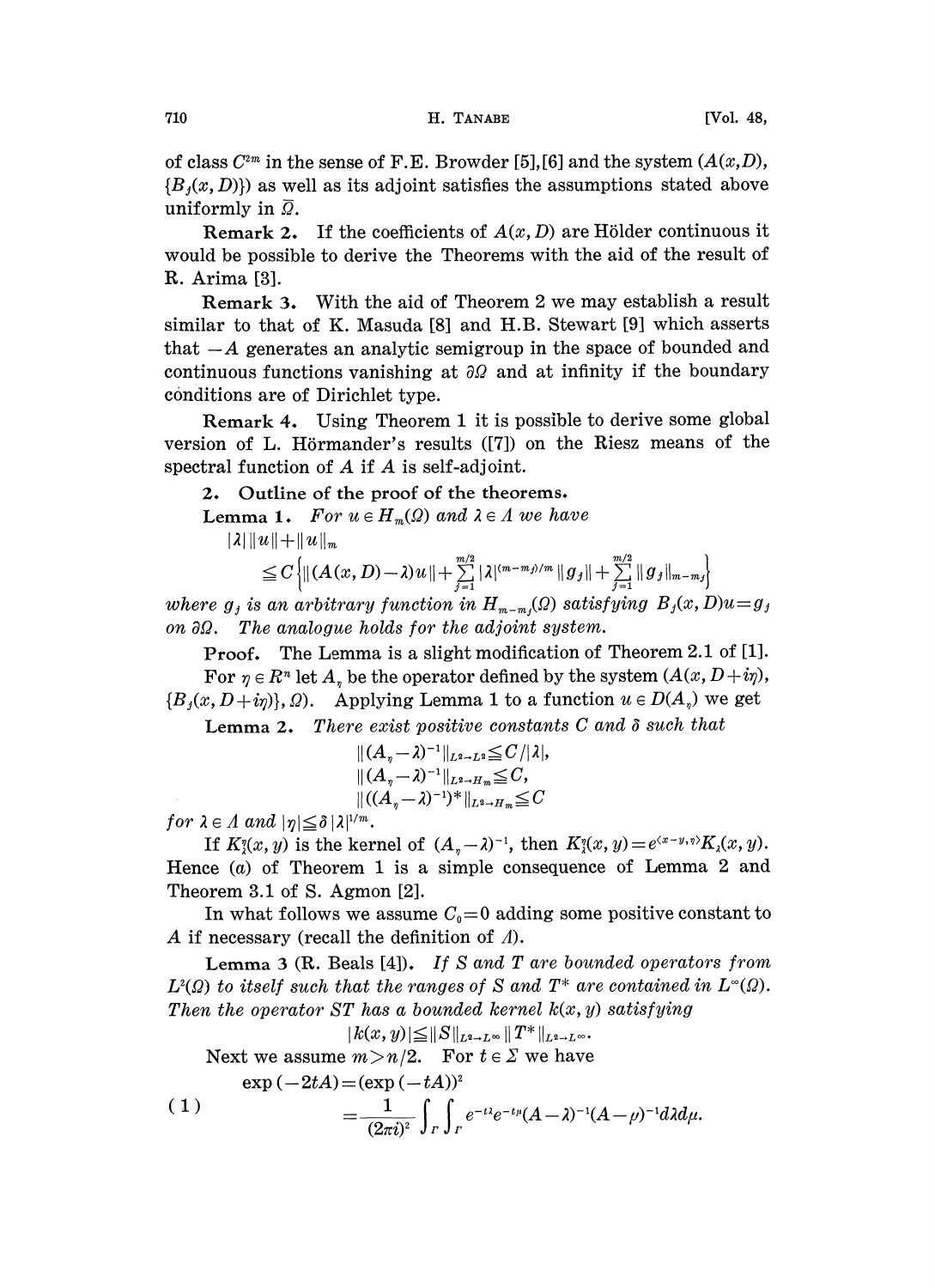of class  $C^{2m}$  in the sense of F.E. Browder [5], [6] and the system  $(A(x,D),$  ${B<sub>t</sub>(x, D)}$  as well as its adjoint satisfies the assumptions stated above uniformly in  $\overline{Q}$ .

**Remark 2.** If the coefficients of  $A(x, D)$  are Hölder continuous it would be possible to derive the Theorems with the aid of the result of R. Arima [3].

Remark 3. With the aid of Theorem 2 we may establish a result similar to that of K. Masuda [8] and H.B. Stewart [9] which asserts that  $-A$  generates an analytic semigroup in the space of bounded and continuous functions vanishing at  $\partial\Omega$  and at infinity if the boundary conditions are of Dirichlet type.

Remark 4. Using Theorem <sup>1</sup> it is possible to derive some global version of L. Hörmander's results  $([7])$  on the Riesz means of the spectral function of A if A is self-adjoint.

## 2. Outline of the proof of the theorems.

**Lemma 1.** For  $u \in H_m(\Omega)$  and  $\lambda \in \Lambda$  we have

 $|\lambda| ||u|| + ||u||_m$ 

$$
\leq C \left\{ \left\| (A(x,D)-\lambda)u\right\| + \sum_{j=1}^{m/2} |\lambda|^{(m-m_j)/m} \|g_j\| + \sum_{j=1}^{m/2} \|g_j\|_{m-m_j} \right\}
$$

where  $g_j$  is an arbitrary function in  $H_{m-m}(Q)$  satisfying  $B_j(x, D)u = g_j$ on  $\partial\Omega$ . The analogue holds for the adjoint system.

Proof. The Lemma is a slight modification of Theorem 2.1 of [1]. For  $\eta \in R^n$  let  $A_n$  be the operator defined by the system  $(A(x, D+i\eta))$ ,  $\{B_j(x,D+i\eta)\}\$ ,  $\Omega$ ). Applying Lemma 1 to a function  $u \in D(A_n)$  we get

**Lemma 2.** There exist positive constants  $C$  and  $\delta$  such that

$$
\begin{aligned} &\|(A_{\eta}-\lambda)^{-1}\|_{L^2\to L^2}\leqq C/|\lambda|,\\ &\|(A_{\eta}-\lambda)^{-1}\|_{L^2\to H_m}\leqq C,\\ &\|(A_{\eta}-\lambda)^{-1})^*\|_{L^2\to H_m}\leqq C \end{aligned}
$$

for  $\lambda \in \Lambda$  and  $|\eta| \leq \delta |\lambda|^{1/m}$ .

If  $K(x, y)$  is the kernel of  $(A_n - \lambda)^{-1}$ , then  $K(x, y) = e^{(x-y, \eta)} K_{\lambda}(x, y)$ . Hence  $(a)$  of Theorem 1 is a simple consequence of Lemma 2 and Theorem 3.1 of S. Agmon [2].

In what follows we assume  $C_0=0$  adding some positive constant to A if necessary (recall the definition of  $\Lambda$ ).

Lemma 3 (R. Beals [4]). If S and T are bounded operators from  $L^2(\Omega)$  to itself such that the ranges of S and  $T^*$  are contained in  $L^{\infty}(\Omega)$ . Then the operator  $ST$  has a bounded kernel  $k(x, y)$  satisfying

$$
|k(x,y)|\leq||S||_{L^2\to L^\infty}||T^*||_{L^2\to L^\infty}.
$$

Next we assume  $m > n/2$ . For  $t \in \Sigma$  we have  $e^{i\pi t}$  ( $2tA$ ) (exp ( $tA$ ))<sup>2</sup>

(1) (2=i)